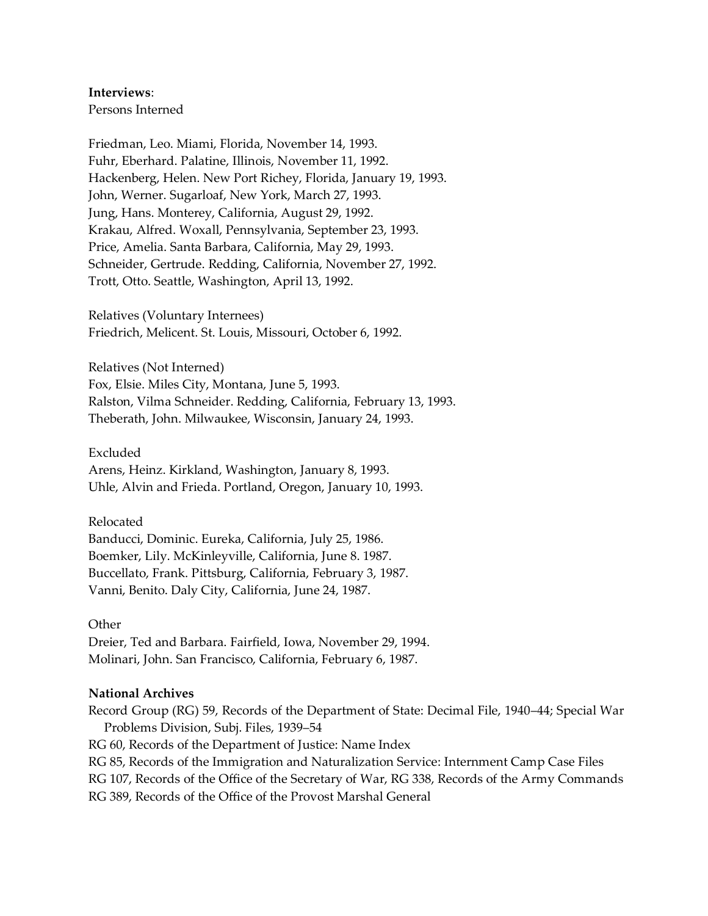## **Interviews**:

Persons Interned

Friedman, Leo. Miami, Florida, November 14, 1993. Fuhr, Eberhard. Palatine, Illinois, November 11, 1992. Hackenberg, Helen. New Port Richey, Florida, January 19, 1993. John, Werner. Sugarloaf, New York, March 27, 1993. Jung, Hans. Monterey, California, August 29, 1992. Krakau, Alfred. Woxall, Pennsylvania, September 23, 1993. Price, Amelia. Santa Barbara, California, May 29, 1993. Schneider, Gertrude. Redding, California, November 27, 1992. Trott, Otto. Seattle, Washington, April 13, 1992.

Relatives (Voluntary Internees) Friedrich, Melicent. St. Louis, Missouri, October 6, 1992.

Relatives (Not Interned) Fox, Elsie. Miles City, Montana, June 5, 1993. Ralston, Vilma Schneider. Redding, California, February 13, 1993. Theberath, John. Milwaukee, Wisconsin, January 24, 1993.

Excluded

Arens, Heinz. Kirkland, Washington, January 8, 1993. Uhle, Alvin and Frieda. Portland, Oregon, January 10, 1993.

Relocated

Banducci, Dominic. Eureka, California, July 25, 1986. Boemker, Lily. McKinleyville, California, June 8. 1987. Buccellato, Frank. Pittsburg, California, February 3, 1987. Vanni, Benito. Daly City, California, June 24, 1987.

## **Other**

Dreier, Ted and Barbara. Fairfield, Iowa, November 29, 1994. Molinari, John. San Francisco, California, February 6, 1987.

# **National Archives**

Record Group (RG) 59, Records of the Department of State: Decimal File, 1940–44; Special War Problems Division, Subj. Files, 1939–54

RG 60, Records of the Department of Justice: Name Index

RG 85, Records of the Immigration and Naturalization Service: Internment Camp Case Files RG 107, Records of the Office of the Secretary of War, RG 338, Records of the Army Commands RG 389, Records of the Office of the Provost Marshal General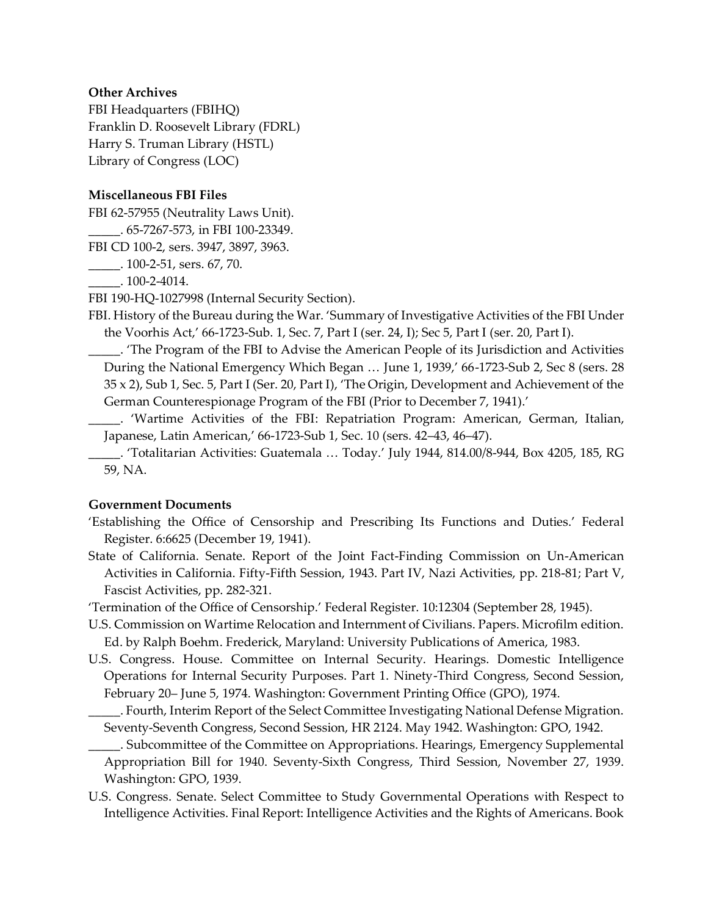## **Other Archives**

FBI Headquarters (FBIHQ) Franklin D. Roosevelt Library (FDRL) Harry S. Truman Library (HSTL) Library of Congress (LOC)

## **Miscellaneous FBI Files**

FBI 62-57955 (Neutrality Laws Unit).

\_\_\_\_\_. 65-7267-573, in FBI 100-23349.

FBI CD 100-2, sers. 3947, 3897, 3963.

\_\_\_\_\_. 100-2-51, sers. 67, 70.

\_\_\_\_\_. 100-2-4014.

FBI 190-HQ-1027998 (Internal Security Section).

- FBI. History of the Bureau during the War. 'Summary of Investigative Activities of the FBI Under the Voorhis Act,' 66-1723-Sub. 1, Sec. 7, Part I (ser. 24, I); Sec 5, Part I (ser. 20, Part I).
	- \_\_\_\_\_. 'The Program of the FBI to Advise the American People of its Jurisdiction and Activities During the National Emergency Which Began … June 1, 1939,' 66-1723-Sub 2, Sec 8 (sers. 28 35 x 2), Sub 1, Sec. 5, Part I (Ser. 20, Part I), 'The Origin, Development and Achievement of the German Counterespionage Program of the FBI (Prior to December 7, 1941).'
- \_\_\_\_\_. 'Wartime Activities of the FBI: Repatriation Program: American, German, Italian, Japanese, Latin American,' 66-1723-Sub 1, Sec. 10 (sers. 42–43, 46–47).
	- \_\_\_\_\_. 'Totalitarian Activities: Guatemala … Today.' July 1944, 814.00/8-944, Box 4205, 185, RG 59, NA.

### **Government Documents**

- 'Establishing the Office of Censorship and Prescribing Its Functions and Duties.' Federal Register. 6:6625 (December 19, 1941).
- State of California. Senate. Report of the Joint Fact-Finding Commission on Un-American Activities in California. Fifty-Fifth Session, 1943. Part IV, Nazi Activities, pp. 218-81; Part V, Fascist Activities, pp. 282-321.

'Termination of the Office of Censorship.' Federal Register. 10:12304 (September 28, 1945).

- U.S. Commission on Wartime Relocation and Internment of Civilians. Papers. Microfilm edition. Ed. by Ralph Boehm. Frederick, Maryland: University Publications of America, 1983.
- U.S. Congress. House. Committee on Internal Security. Hearings. Domestic Intelligence Operations for Internal Security Purposes. Part 1. Ninety-Third Congress, Second Session, February 20– June 5, 1974. Washington: Government Printing Office (GPO), 1974.

\_\_\_\_\_. Fourth, Interim Report of the Select Committee Investigating National Defense Migration. Seventy-Seventh Congress, Second Session, HR 2124. May 1942. Washington: GPO, 1942.

\_\_\_\_\_. Subcommittee of the Committee on Appropriations. Hearings, Emergency Supplemental Appropriation Bill for 1940. Seventy-Sixth Congress, Third Session, November 27, 1939. Washington: GPO, 1939.

U.S. Congress. Senate. Select Committee to Study Governmental Operations with Respect to Intelligence Activities. Final Report: Intelligence Activities and the Rights of Americans. Book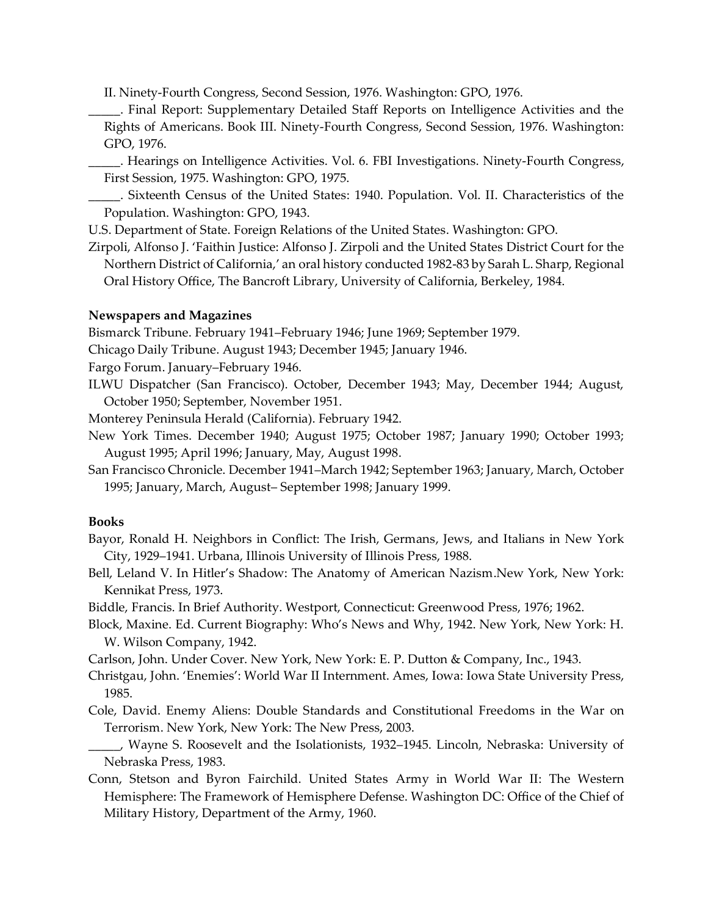II. Ninety-Fourth Congress, Second Session, 1976. Washington: GPO, 1976.

\_\_\_\_\_. Final Report: Supplementary Detailed Staff Reports on Intelligence Activities and the Rights of Americans. Book III. Ninety-Fourth Congress, Second Session, 1976. Washington: GPO, 1976.

\_\_\_\_\_. Hearings on Intelligence Activities. Vol. 6. FBI Investigations. Ninety-Fourth Congress, First Session, 1975. Washington: GPO, 1975.

\_\_\_\_\_. Sixteenth Census of the United States: 1940. Population. Vol. II. Characteristics of the Population. Washington: GPO, 1943.

U.S. Department of State. Foreign Relations of the United States. Washington: GPO.

Zirpoli, Alfonso J. 'Faithin Justice: Alfonso J. Zirpoli and the United States District Court for the Northern District of California,' an oral history conducted 1982-83 by Sarah L. Sharp, Regional Oral History Office, The Bancroft Library, University of California, Berkeley, 1984.

### **Newspapers and Magazines**

Bismarck Tribune. February 1941–February 1946; June 1969; September 1979.

Chicago Daily Tribune. August 1943; December 1945; January 1946.

Fargo Forum. January–February 1946.

ILWU Dispatcher (San Francisco). October, December 1943; May, December 1944; August, October 1950; September, November 1951.

Monterey Peninsula Herald (California). February 1942.

- New York Times. December 1940; August 1975; October 1987; January 1990; October 1993; August 1995; April 1996; January, May, August 1998.
- San Francisco Chronicle. December 1941–March 1942; September 1963; January, March, October 1995; January, March, August– September 1998; January 1999.

### **Books**

- Bayor, Ronald H. Neighbors in Conflict: The Irish, Germans, Jews, and Italians in New York City, 1929–1941. Urbana, Illinois University of Illinois Press, 1988.
- Bell, Leland V. In Hitler's Shadow: The Anatomy of American Nazism.New York, New York: Kennikat Press, 1973.
- Biddle, Francis. In Brief Authority. Westport, Connecticut: Greenwood Press, 1976; 1962.
- Block, Maxine. Ed. Current Biography: Who's News and Why, 1942. New York, New York: H. W. Wilson Company, 1942.

Carlson, John. Under Cover. New York, New York: E. P. Dutton & Company, Inc., 1943.

- Christgau, John. 'Enemies': World War II Internment. Ames, Iowa: Iowa State University Press, 1985.
- Cole, David. Enemy Aliens: Double Standards and Constitutional Freedoms in the War on Terrorism. New York, New York: The New Press, 2003.
- \_\_\_\_\_, Wayne S. Roosevelt and the Isolationists, 1932–1945. Lincoln, Nebraska: University of Nebraska Press, 1983.
- Conn, Stetson and Byron Fairchild. United States Army in World War II: The Western Hemisphere: The Framework of Hemisphere Defense. Washington DC: Office of the Chief of Military History, Department of the Army, 1960.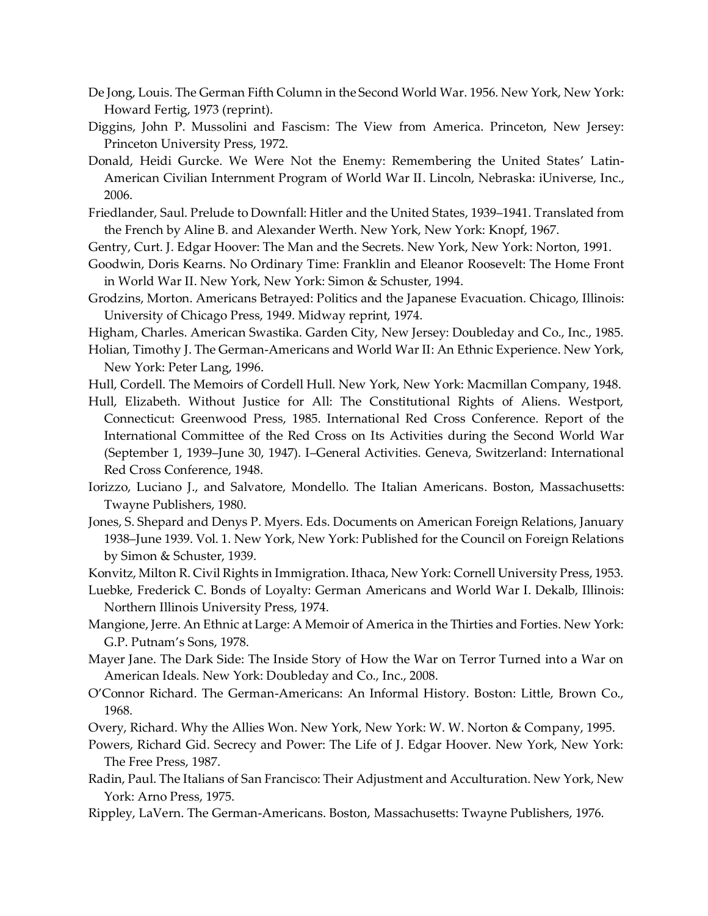- De Jong, Louis. The German Fifth Column in the Second World War. 1956. New York, New York: Howard Fertig, 1973 (reprint).
- Diggins, John P. Mussolini and Fascism: The View from America. Princeton, New Jersey: Princeton University Press, 1972.
- Donald, Heidi Gurcke. We Were Not the Enemy: Remembering the United States' Latin-American Civilian Internment Program of World War II. Lincoln, Nebraska: iUniverse, Inc., 2006.
- Friedlander, Saul. Prelude to Downfall: Hitler and the United States, 1939–1941. Translated from the French by Aline B. and Alexander Werth. New York, New York: Knopf, 1967.
- Gentry, Curt. J. Edgar Hoover: The Man and the Secrets. New York, New York: Norton, 1991.
- Goodwin, Doris Kearns. No Ordinary Time: Franklin and Eleanor Roosevelt: The Home Front in World War II. New York, New York: Simon & Schuster, 1994.
- Grodzins, Morton. Americans Betrayed: Politics and the Japanese Evacuation. Chicago, Illinois: University of Chicago Press, 1949. Midway reprint, 1974.

Higham, Charles. American Swastika. Garden City, New Jersey: Doubleday and Co., Inc., 1985.

- Holian, Timothy J. The German-Americans and World War II: An Ethnic Experience. New York, New York: Peter Lang, 1996.
- Hull, Cordell. The Memoirs of Cordell Hull. New York, New York: Macmillan Company, 1948.
- Hull, Elizabeth. Without Justice for All: The Constitutional Rights of Aliens. Westport, Connecticut: Greenwood Press, 1985. International Red Cross Conference. Report of the International Committee of the Red Cross on Its Activities during the Second World War (September 1, 1939–June 30, 1947). I–General Activities. Geneva, Switzerland: International Red Cross Conference, 1948.
- Iorizzo, Luciano J., and Salvatore, Mondello. The Italian Americans. Boston, Massachusetts: Twayne Publishers, 1980.
- Jones, S. Shepard and Denys P. Myers. Eds. Documents on American Foreign Relations, January 1938–June 1939. Vol. 1. New York, New York: Published for the Council on Foreign Relations by Simon & Schuster, 1939.
- Konvitz, Milton R. Civil Rights in Immigration. Ithaca, New York: Cornell University Press, 1953.
- Luebke, Frederick C. Bonds of Loyalty: German Americans and World War I. Dekalb, Illinois: Northern Illinois University Press, 1974.
- Mangione, Jerre. An Ethnic at Large: A Memoir of America in the Thirties and Forties. New York: G.P. Putnam's Sons, 1978.
- Mayer Jane. The Dark Side: The Inside Story of How the War on Terror Turned into a War on American Ideals. New York: Doubleday and Co., Inc., 2008.
- O'Connor Richard. The German-Americans: An Informal History. Boston: Little, Brown Co., 1968.
- Overy, Richard. Why the Allies Won. New York, New York: W. W. Norton & Company, 1995.
- Powers, Richard Gid. Secrecy and Power: The Life of J. Edgar Hoover. New York, New York: The Free Press, 1987.
- Radin, Paul. The Italians of San Francisco: Their Adjustment and Acculturation. New York, New York: Arno Press, 1975.
- Rippley, LaVern. The German-Americans. Boston, Massachusetts: Twayne Publishers, 1976.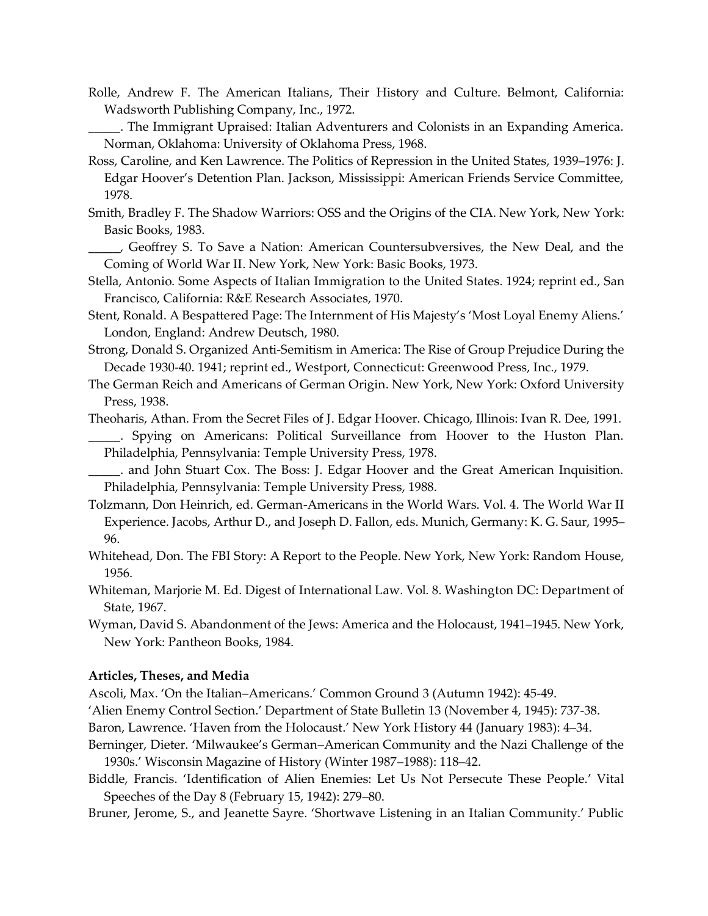Rolle, Andrew F. The American Italians, Their History and Culture. Belmont, California: Wadsworth Publishing Company, Inc., 1972.

\_\_\_\_\_. The Immigrant Upraised: Italian Adventurers and Colonists in an Expanding America. Norman, Oklahoma: University of Oklahoma Press, 1968.

- Ross, Caroline, and Ken Lawrence. The Politics of Repression in the United States, 1939–1976: J. Edgar Hoover's Detention Plan. Jackson, Mississippi: American Friends Service Committee, 1978.
- Smith, Bradley F. The Shadow Warriors: OSS and the Origins of the CIA. New York, New York: Basic Books, 1983.

\_\_\_\_\_, Geoffrey S. To Save a Nation: American Countersubversives, the New Deal, and the Coming of World War II. New York, New York: Basic Books, 1973.

Stella, Antonio. Some Aspects of Italian Immigration to the United States. 1924; reprint ed., San Francisco, California: R&E Research Associates, 1970.

Stent, Ronald. A Bespattered Page: The Internment of His Majesty's 'Most Loyal Enemy Aliens.' London, England: Andrew Deutsch, 1980.

Strong, Donald S. Organized Anti-Semitism in America: The Rise of Group Prejudice During the Decade 1930-40. 1941; reprint ed., Westport, Connecticut: Greenwood Press, Inc., 1979.

The German Reich and Americans of German Origin. New York, New York: Oxford University Press, 1938.

Theoharis, Athan. From the Secret Files of J. Edgar Hoover. Chicago, Illinois: Ivan R. Dee, 1991. \_\_\_\_\_. Spying on Americans: Political Surveillance from Hoover to the Huston Plan. Philadelphia, Pennsylvania: Temple University Press, 1978.

\_\_\_\_\_. and John Stuart Cox. The Boss: J. Edgar Hoover and the Great American Inquisition. Philadelphia, Pennsylvania: Temple University Press, 1988.

- Tolzmann, Don Heinrich, ed. German-Americans in the World Wars. Vol. 4. The World War II Experience. Jacobs, Arthur D., and Joseph D. Fallon, eds. Munich, Germany: K. G. Saur, 1995– 96.
- Whitehead, Don. The FBI Story: A Report to the People. New York, New York: Random House, 1956.

Whiteman, Marjorie M. Ed. Digest of International Law. Vol. 8. Washington DC: Department of State, 1967.

Wyman, David S. Abandonment of the Jews: America and the Holocaust, 1941–1945. New York, New York: Pantheon Books, 1984.

### **Articles, Theses, and Media**

Ascoli, Max. 'On the Italian–Americans.' Common Ground 3 (Autumn 1942): 45-49.

'Alien Enemy Control Section.' Department of State Bulletin 13 (November 4, 1945): 737-38.

- Baron, Lawrence. 'Haven from the Holocaust.' New York History 44 (January 1983): 4–34.
- Berninger, Dieter. 'Milwaukee's German–American Community and the Nazi Challenge of the 1930s.' Wisconsin Magazine of History (Winter 1987–1988): 118–42.

Biddle, Francis. 'Identification of Alien Enemies: Let Us Not Persecute These People.' Vital Speeches of the Day 8 (February 15, 1942): 279–80.

Bruner, Jerome, S., and Jeanette Sayre. 'Shortwave Listening in an Italian Community.' Public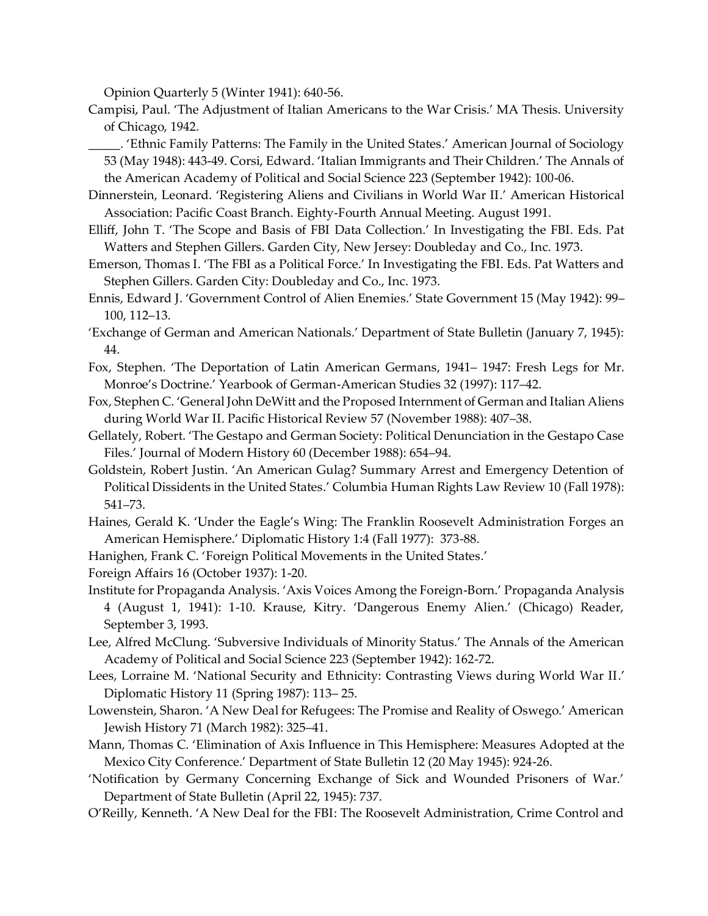Opinion Quarterly 5 (Winter 1941): 640-56.

Campisi, Paul. 'The Adjustment of Italian Americans to the War Crisis.' MA Thesis. University of Chicago, 1942.

\_\_\_\_\_. 'Ethnic Family Patterns: The Family in the United States.' American Journal of Sociology 53 (May 1948): 443-49. Corsi, Edward. 'Italian Immigrants and Their Children.' The Annals of the American Academy of Political and Social Science 223 (September 1942): 100-06.

- Dinnerstein, Leonard. 'Registering Aliens and Civilians in World War II.' American Historical Association: Pacific Coast Branch. Eighty-Fourth Annual Meeting. August 1991.
- Elliff, John T. 'The Scope and Basis of FBI Data Collection.' In Investigating the FBI. Eds. Pat Watters and Stephen Gillers. Garden City, New Jersey: Doubleday and Co., Inc. 1973.
- Emerson, Thomas I. 'The FBI as a Political Force.' In Investigating the FBI. Eds. Pat Watters and Stephen Gillers. Garden City: Doubleday and Co., Inc. 1973.
- Ennis, Edward J. 'Government Control of Alien Enemies.' State Government 15 (May 1942): 99– 100, 112–13.
- 'Exchange of German and American Nationals.' Department of State Bulletin (January 7, 1945): 44.
- Fox, Stephen. 'The Deportation of Latin American Germans, 1941– 1947: Fresh Legs for Mr. Monroe's Doctrine.' Yearbook of German-American Studies 32 (1997): 117–42.
- Fox, Stephen C. 'General John DeWitt and the Proposed Internment of German and Italian Aliens during World War II. Pacific Historical Review 57 (November 1988): 407–38.
- Gellately, Robert. 'The Gestapo and German Society: Political Denunciation in the Gestapo Case Files.' Journal of Modern History 60 (December 1988): 654–94.
- Goldstein, Robert Justin. 'An American Gulag? Summary Arrest and Emergency Detention of Political Dissidents in the United States.' Columbia Human Rights Law Review 10 (Fall 1978): 541–73.
- Haines, Gerald K. 'Under the Eagle's Wing: The Franklin Roosevelt Administration Forges an American Hemisphere.' Diplomatic History 1:4 (Fall 1977): 373-88.
- Hanighen, Frank C. 'Foreign Political Movements in the United States.'
- Foreign Affairs 16 (October 1937): 1-20.
- Institute for Propaganda Analysis. 'Axis Voices Among the Foreign-Born.' Propaganda Analysis 4 (August 1, 1941): 1-10. Krause, Kitry. 'Dangerous Enemy Alien.' (Chicago) Reader, September 3, 1993.
- Lee, Alfred McClung. 'Subversive Individuals of Minority Status.' The Annals of the American Academy of Political and Social Science 223 (September 1942): 162-72.
- Lees, Lorraine M. 'National Security and Ethnicity: Contrasting Views during World War II.' Diplomatic History 11 (Spring 1987): 113– 25.
- Lowenstein, Sharon. 'A New Deal for Refugees: The Promise and Reality of Oswego.' American Jewish History 71 (March 1982): 325–41.
- Mann, Thomas C. 'Elimination of Axis Influence in This Hemisphere: Measures Adopted at the Mexico City Conference.' Department of State Bulletin 12 (20 May 1945): 924-26.
- 'Notification by Germany Concerning Exchange of Sick and Wounded Prisoners of War.' Department of State Bulletin (April 22, 1945): 737.
- O'Reilly, Kenneth. 'A New Deal for the FBI: The Roosevelt Administration, Crime Control and